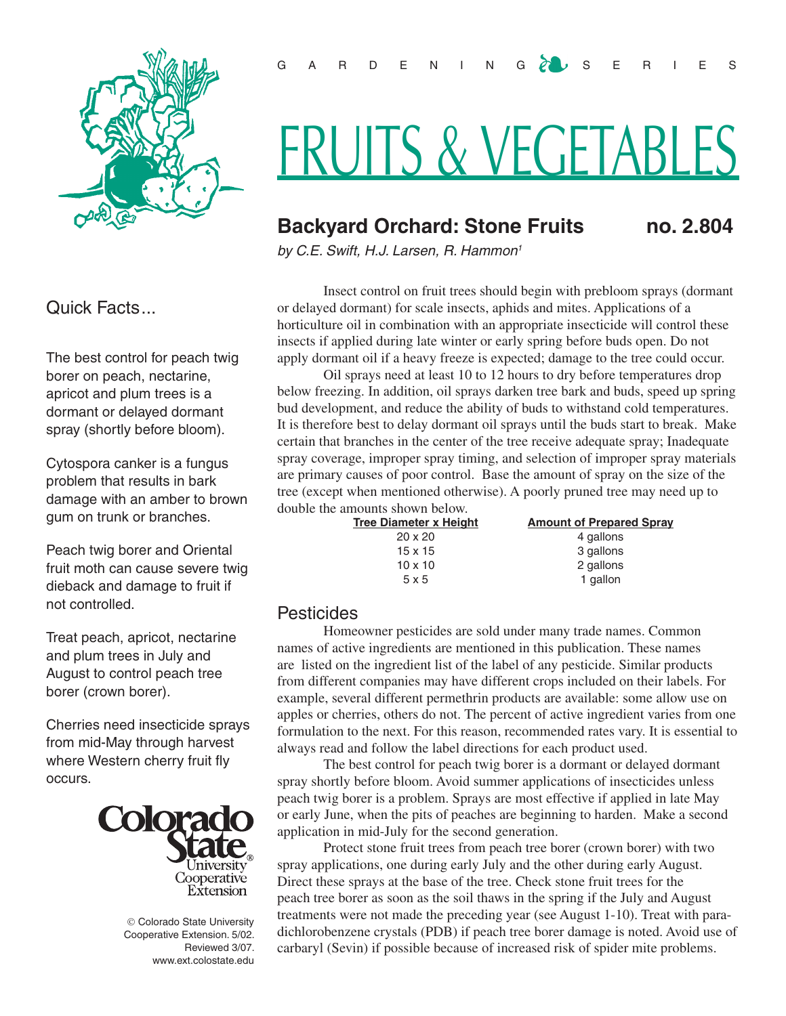

Quick Facts...

The best control for peach twig borer on peach, nectarine, apricot and plum trees is a dormant or delayed dormant spray (shortly before bloom).

Cytospora canker is a fungus problem that results in bark damage with an amber to brown gum on trunk or branches.

Peach twig borer and Oriental fruit moth can cause severe twig dieback and damage to fruit if not controlled.

Treat peach, apricot, nectarine and plum trees in July and August to control peach tree borer (crown borer).

Cherries need insecticide sprays from mid-May through harvest where Western cherry fruit fly occurs.



© Colorado State University Cooperative Extension. 5/02. Reviewed 3/07. www.ext.colostate.edu

# FRUITS & VEGETABLES

## **Backyard Orchard: Stone Fruits no. 2.804**

*by C.E. Swift, H.J. Larsen, R. Hammon1* 

Insect control on fruit trees should begin with prebloom sprays (dormant or delayed dormant) for scale insects, aphids and mites. Applications of a horticulture oil in combination with an appropriate insecticide will control these insects if applied during late winter or early spring before buds open. Do not apply dormant oil if a heavy freeze is expected; damage to the tree could occur.

Oil sprays need at least 10 to 12 hours to dry before temperatures drop below freezing. In addition, oil sprays darken tree bark and buds, speed up spring bud development, and reduce the ability of buds to withstand cold temperatures. It is therefore best to delay dormant oil sprays until the buds start to break. Make certain that branches in the center of the tree receive adequate spray; Inadequate spray coverage, improper spray timing, and selection of improper spray materials are primary causes of poor control. Base the amount of spray on the size of the tree (except when mentioned otherwise). A poorly pruned tree may need up to double the amounts shown below.

| <b>Tree Diameter x Height</b> | <b>Amount of Prepared Spray</b> |
|-------------------------------|---------------------------------|
| $20 \times 20$                | 4 gallons                       |
| 15 x 15                       | 3 gallons                       |
| $10 \times 10$                | 2 gallons                       |
| 5x5                           | 1 gallon                        |

## **Pesticides**

Homeowner pesticides are sold under many trade names. Common names of active ingredients are mentioned in this publication. These names are listed on the ingredient list of the label of any pesticide. Similar products from different companies may have different crops included on their labels. For example, several different permethrin products are available: some allow use on apples or cherries, others do not. The percent of active ingredient varies from one formulation to the next. For this reason, recommended rates vary. It is essential to always read and follow the label directions for each product used.

The best control for peach twig borer is a dormant or delayed dormant spray shortly before bloom. Avoid summer applications of insecticides unless peach twig borer is a problem. Sprays are most effective if applied in late May or early June, when the pits of peaches are beginning to harden. Make a second application in mid-July for the second generation.

Protect stone fruit trees from peach tree borer (crown borer) with two spray applications, one during early July and the other during early August. Direct these sprays at the base of the tree. Check stone fruit trees for the peach tree borer as soon as the soil thaws in the spring if the July and August treatments were not made the preceding year (see August 1-10). Treat with paradichlorobenzene crystals (PDB) if peach tree borer damage is noted. Avoid use of carbaryl (Sevin) if possible because of increased risk of spider mite problems.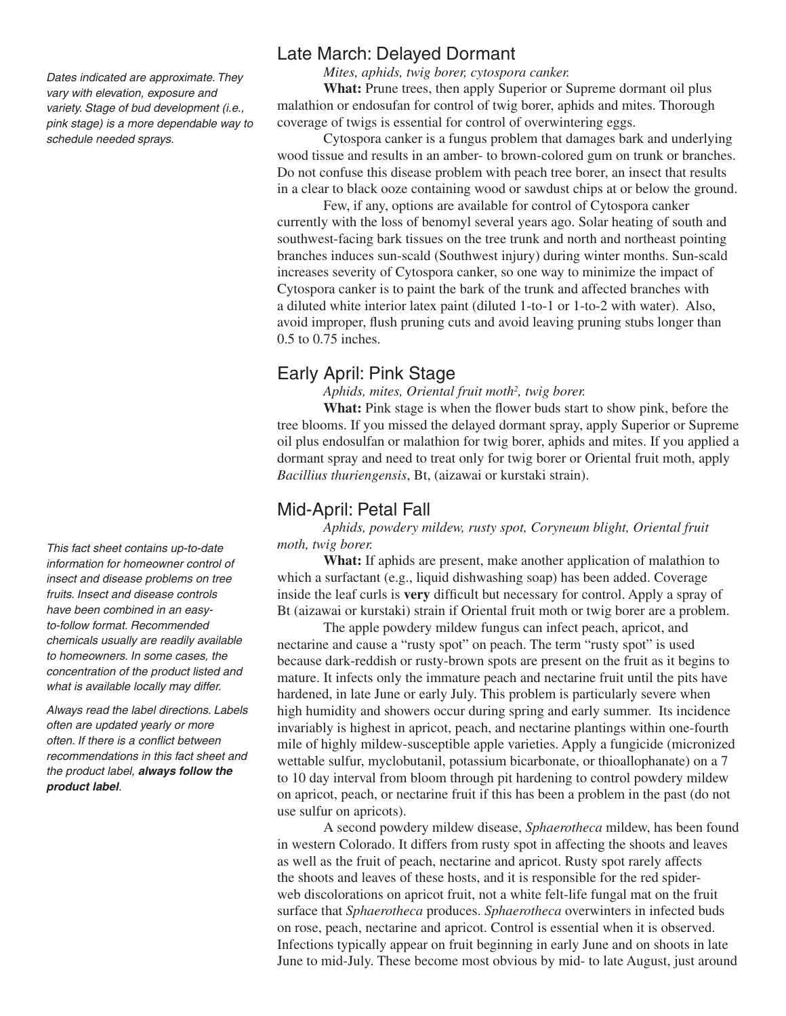*Dates indicated are approximate. They vary with elevation, exposure and variety. Stage of bud development (i.e., pink stage) is a more dependable way to schedule needed sprays.*

*This fact sheet contains up-to-date information for homeowner control of insect and disease problems on tree fruits. Insect and disease controls have been combined in an easyto-follow format. Recommended chemicals usually are readily available to homeowners. In some cases, the concentration of the product listed and what is available locally may differ.* 

*Always read the label directions. Labels often are updated yearly or more often. If there is a conflict between recommendations in this fact sheet and the product label, always follow the product label.* 

## Late March: Delayed Dormant

*Mites, aphids, twig borer, cytospora canker.*

**What:** Prune trees, then apply Superior or Supreme dormant oil plus malathion or endosufan for control of twig borer, aphids and mites. Thorough coverage of twigs is essential for control of overwintering eggs.

Cytospora canker is a fungus problem that damages bark and underlying wood tissue and results in an amber- to brown-colored gum on trunk or branches. Do not confuse this disease problem with peach tree borer, an insect that results in a clear to black ooze containing wood or sawdust chips at or below the ground.

Few, if any, options are available for control of Cytospora canker currently with the loss of benomyl several years ago. Solar heating of south and southwest-facing bark tissues on the tree trunk and north and northeast pointing branches induces sun-scald (Southwest injury) during winter months. Sun-scald increases severity of Cytospora canker, so one way to minimize the impact of Cytospora canker is to paint the bark of the trunk and affected branches with a diluted white interior latex paint (diluted 1-to-1 or 1-to-2 with water). Also, avoid improper, flush pruning cuts and avoid leaving pruning stubs longer than 0.5 to 0.75 inches.

## Early April: Pink Stage

*Aphids, mites, Oriental fruit moth2 , twig borer.*

What: Pink stage is when the flower buds start to show pink, before the tree blooms. If you missed the delayed dormant spray, apply Superior or Supreme oil plus endosulfan or malathion for twig borer, aphids and mites. If you applied a dormant spray and need to treat only for twig borer or Oriental fruit moth, apply *Bacillius thuriengensis*, Bt, (aizawai or kurstaki strain).

## Mid-April: Petal Fall

#### *Aphids, powdery mildew, rusty spot, Coryneum blight, Oriental fruit moth, twig borer.*

**What:** If aphids are present, make another application of malathion to which a surfactant (e.g., liquid dishwashing soap) has been added. Coverage inside the leaf curls is **very** difficult but necessary for control. Apply a spray of Bt (aizawai or kurstaki) strain if Oriental fruit moth or twig borer are a problem.

The apple powdery mildew fungus can infect peach, apricot, and nectarine and cause a "rusty spot" on peach. The term "rusty spot" is used because dark-reddish or rusty-brown spots are present on the fruit as it begins to mature. It infects only the immature peach and nectarine fruit until the pits have hardened, in late June or early July. This problem is particularly severe when high humidity and showers occur during spring and early summer. Its incidence invariably is highest in apricot, peach, and nectarine plantings within one-fourth mile of highly mildew-susceptible apple varieties. Apply a fungicide (micronized wettable sulfur, myclobutanil, potassium bicarbonate, or thioallophanate) on a 7 to 10 day interval from bloom through pit hardening to control powdery mildew on apricot, peach, or nectarine fruit if this has been a problem in the past (do not use sulfur on apricots).

A second powdery mildew disease, *Sphaerotheca* mildew, has been found in western Colorado. It differs from rusty spot in affecting the shoots and leaves as well as the fruit of peach, nectarine and apricot. Rusty spot rarely affects the shoots and leaves of these hosts, and it is responsible for the red spiderweb discolorations on apricot fruit, not a white felt-life fungal mat on the fruit surface that *Sphaerotheca* produces. *Sphaerotheca* overwinters in infected buds on rose, peach, nectarine and apricot. Control is essential when it is observed. Infections typically appear on fruit beginning in early June and on shoots in late June to mid-July. These become most obvious by mid- to late August, just around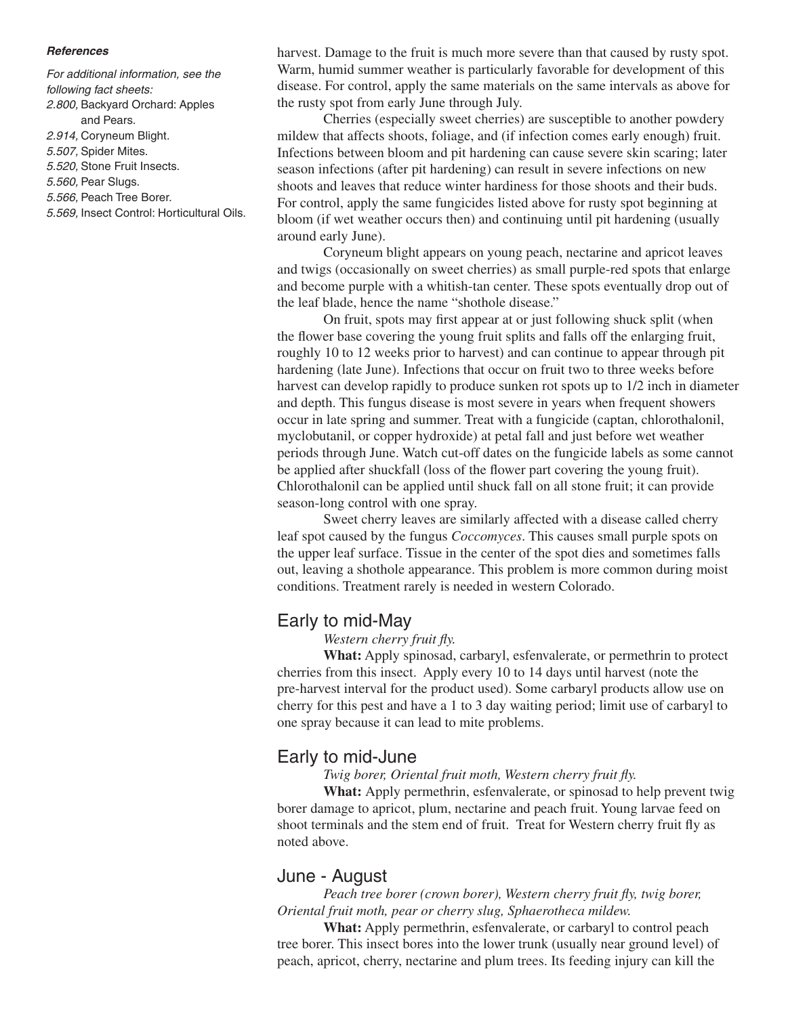#### *References*

*For additional information, see the following fact sheets:*

*2.800,* Backyard Orchard: Apples and Pears.

- *2.914,* Coryneum Blight*.*
- *5.507,* Spider Mites.
- *5.520,* Stone Fruit Insects.
- *5.560,* Pear Slugs.
- *5.566,* Peach Tree Borer.
- *5.569,* Insect Control: Horticultural Oils.

harvest. Damage to the fruit is much more severe than that caused by rusty spot. Warm, humid summer weather is particularly favorable for development of this disease. For control, apply the same materials on the same intervals as above for the rusty spot from early June through July.

Cherries (especially sweet cherries) are susceptible to another powdery mildew that affects shoots, foliage, and (if infection comes early enough) fruit. Infections between bloom and pit hardening can cause severe skin scaring; later season infections (after pit hardening) can result in severe infections on new shoots and leaves that reduce winter hardiness for those shoots and their buds. For control, apply the same fungicides listed above for rusty spot beginning at bloom (if wet weather occurs then) and continuing until pit hardening (usually around early June).

Coryneum blight appears on young peach, nectarine and apricot leaves and twigs (occasionally on sweet cherries) as small purple-red spots that enlarge and become purple with a whitish-tan center. These spots eventually drop out of the leaf blade, hence the name "shothole disease."

On fruit, spots may first appear at or just following shuck split (when the flower base covering the young fruit splits and falls off the enlarging fruit, roughly 10 to 12 weeks prior to harvest) and can continue to appear through pit hardening (late June). Infections that occur on fruit two to three weeks before harvest can develop rapidly to produce sunken rot spots up to 1/2 inch in diameter and depth. This fungus disease is most severe in years when frequent showers occur in late spring and summer. Treat with a fungicide (captan, chlorothalonil, myclobutanil, or copper hydroxide) at petal fall and just before wet weather periods through June. Watch cut-off dates on the fungicide labels as some cannot be applied after shuckfall (loss of the flower part covering the young fruit). Chlorothalonil can be applied until shuck fall on all stone fruit; it can provide season-long control with one spray.

Sweet cherry leaves are similarly affected with a disease called cherry leaf spot caused by the fungus *Coccomyces*. This causes small purple spots on the upper leaf surface. Tissue in the center of the spot dies and sometimes falls out, leaving a shothole appearance. This problem is more common during moist conditions. Treatment rarely is needed in western Colorado.

## Early to mid-May

*Western cherry fruit fly.*

**What:** Apply spinosad, carbaryl, esfenvalerate, or permethrin to protect cherries from this insect. Apply every 10 to 14 days until harvest (note the pre-harvest interval for the product used). Some carbaryl products allow use on cherry for this pest and have a 1 to 3 day waiting period; limit use of carbaryl to one spray because it can lead to mite problems.

## Early to mid-June

*Twig borer, Oriental fruit moth, Western cherry fruit fly.*

**What:** Apply permethrin, esfenvalerate, or spinosad to help prevent twig borer damage to apricot, plum, nectarine and peach fruit. Young larvae feed on shoot terminals and the stem end of fruit. Treat for Western cherry fruit fly as noted above.

## June - August

*Peach tree borer (crown borer), Western cherry fruit fly, twig borer, Oriental fruit moth, pear or cherry slug, Sphaerotheca mildew.*

**What:** Apply permethrin, esfenvalerate, or carbaryl to control peach tree borer. This insect bores into the lower trunk (usually near ground level) of peach, apricot, cherry, nectarine and plum trees. Its feeding injury can kill the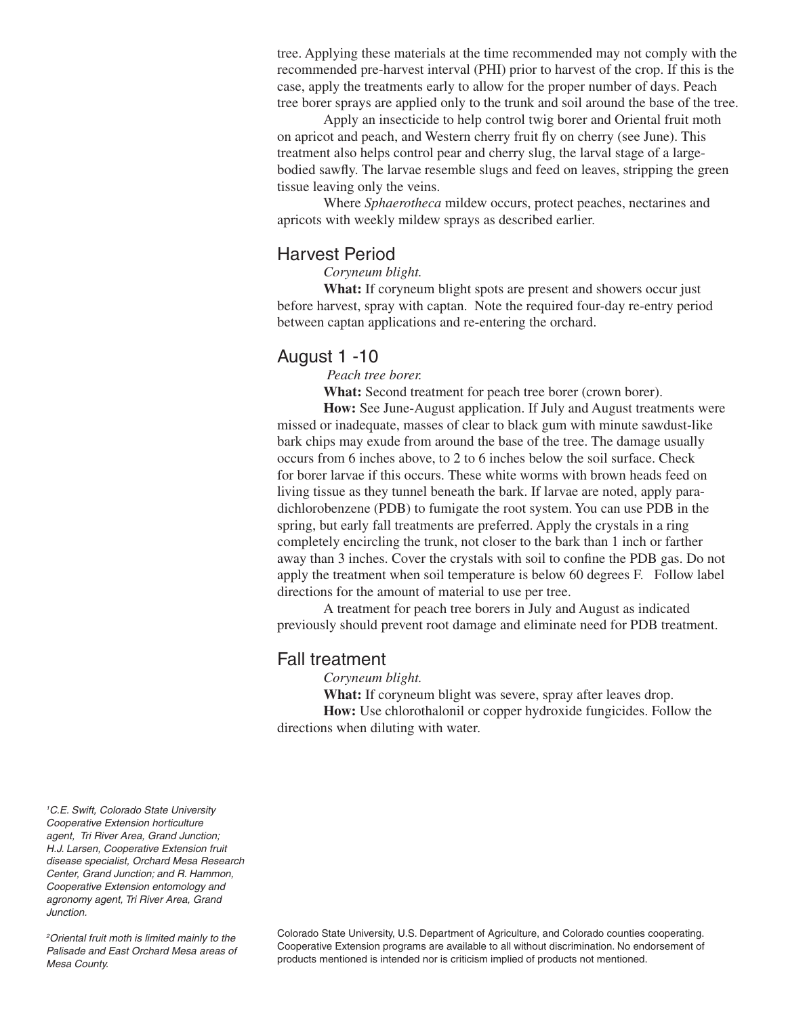tree. Applying these materials at the time recommended may not comply with the recommended pre-harvest interval (PHI) prior to harvest of the crop. If this is the case, apply the treatments early to allow for the proper number of days. Peach tree borer sprays are applied only to the trunk and soil around the base of the tree.

Apply an insecticide to help control twig borer and Oriental fruit moth on apricot and peach, and Western cherry fruit fly on cherry (see June). This treatment also helps control pear and cherry slug, the larval stage of a largebodied sawfly. The larvae resemble slugs and feed on leaves, stripping the green tissue leaving only the veins.

Where *Sphaerotheca* mildew occurs, protect peaches, nectarines and apricots with weekly mildew sprays as described earlier.

## Harvest Period

*Coryneum blight.*

**What:** If coryneum blight spots are present and showers occur just before harvest, spray with captan. Note the required four-day re-entry period between captan applications and re-entering the orchard.

## August 1 -10

 *Peach tree borer.*

**What:** Second treatment for peach tree borer (crown borer).

**How:** See June-August application. If July and August treatments were missed or inadequate, masses of clear to black gum with minute sawdust-like bark chips may exude from around the base of the tree. The damage usually occurs from 6 inches above, to 2 to 6 inches below the soil surface. Check for borer larvae if this occurs. These white worms with brown heads feed on living tissue as they tunnel beneath the bark. If larvae are noted, apply paradichlorobenzene (PDB) to fumigate the root system. You can use PDB in the spring, but early fall treatments are preferred. Apply the crystals in a ring completely encircling the trunk, not closer to the bark than 1 inch or farther away than 3 inches. Cover the crystals with soil to confine the PDB gas. Do not apply the treatment when soil temperature is below 60 degrees F. Follow label directions for the amount of material to use per tree.

A treatment for peach tree borers in July and August as indicated previously should prevent root damage and eliminate need for PDB treatment.

## Fall treatment

*Coryneum blight.*

**What:** If coryneum blight was severe, spray after leaves drop.

**How:** Use chlorothalonil or copper hydroxide fungicides. Follow the directions when diluting with water.

*1 C.E. Swift, Colorado State University Cooperative Extension horticulture agent, Tri River Area, Grand Junction; H.J. Larsen, Cooperative Extension fruit disease specialist, Orchard Mesa Research Center, Grand Junction; and R. Hammon, Cooperative Extension entomology and agronomy agent, Tri River Area, Grand Junction.* 

*2 Oriental fruit moth is limited mainly to the Palisade and East Orchard Mesa areas of Mesa County.*

Colorado State University, U.S. Department of Agriculture, and Colorado counties cooperating. Cooperative Extension programs are available to all without discrimination. No endorsement of products mentioned is intended nor is criticism implied of products not mentioned.